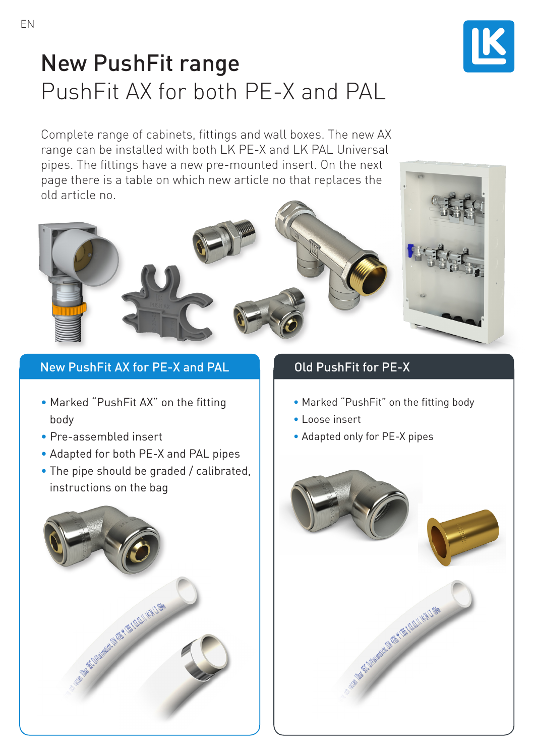

## New PushFit range PushFit AX for both PE-X and PAL

Complete range of cabinets, fittings and wall boxes. The new AX range can be installed with both LK PE-X and LK PAL Universal pipes. The fittings have a new pre-mounted insert. On the next page there is a table on which new article no that replaces the old article no.

## New PushFit AX for PE-X and PAL Dud PushFit for PE-X

- Marked "PushFit AX" on the fitting body
- Pre-assembled insert
- Adapted for both PE-X and PAL pipes
- The pipe should be graded / calibrated, instructions on the bag



- Marked "PushFit" on the fitting body
- Loose insert
- Adapted only for PE-X pipes